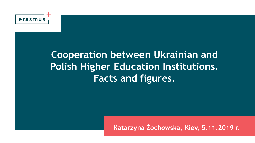

### **Cooperation between Ukrainian and Polish Higher Education Institutions. Facts and figures.**

**Katarzyna Żochowska, Kiev, 5.11.2019 r.**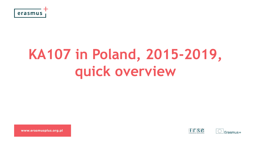

# **KA107 in Poland, 2015-2019, quick overview**

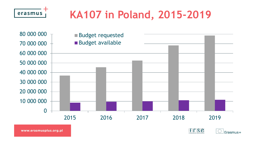## **KA107 in Poland, 2015-2019**



www.erasmusplus.org.pl

erasmus

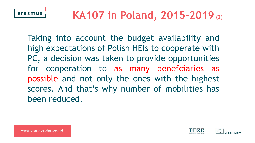

Taking into account the budget availability and high expectations of Polish HEIs to cooperate with PC, a decision was taken to provide opportunities for cooperation to as many benefciaries as possible and not only the ones with the highest scores. And that's why number of mobilities has been reduced.

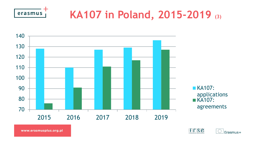

## **KA107 in Poland, 2015-2019 (3)**



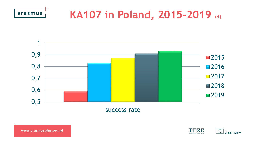

### **KA107 in Poland, 2015-2019 (4)**



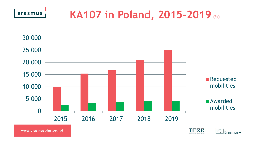

## **KA107 in Poland, 2015-2019 (5)**



www.erasmusplus.org.pl



 $\overline{\mathbb{C}}$ 

 $\vert$ Erasmus+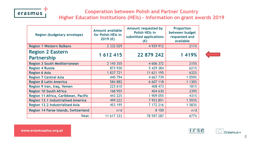

### **Cooperation between Polish and Partner Country**

**Higher Education Institutions (HEIs) - Information on grant awards 2019**

| Region (budgetary envelope)                   | Amount available<br>for Polish HEIs in<br>2019 (€) | Amount requested by<br>Polish HEIs in<br>submitted applications<br>$(\epsilon)$ | <b>Proportion</b><br>between budget<br>requested and<br>available |
|-----------------------------------------------|----------------------------------------------------|---------------------------------------------------------------------------------|-------------------------------------------------------------------|
| <b>Region 1 Western Balkans</b>               | 2 3 3 2 0 2 9                                      | 4 9 29 9 12                                                                     | 211%                                                              |
| <b>Region 2 Eastern</b><br><b>Partnership</b> | 1 612 415                                          | 22 879 242                                                                      | 1 4 1 9 %                                                         |
| <b>Region 3 South Mediterranean</b>           | 2 145 355                                          | 4 606 372                                                                       | 215%                                                              |
| <b>Region 4 Russia</b>                        | 873 930                                            | 5 429 384                                                                       | 621%                                                              |
| <b>Region 6 Asia</b>                          | 1 837 721                                          | 11 621 195                                                                      | 632%                                                              |
| <b>Region 7 Central Asia</b>                  | 440 794                                            | 4 667 739                                                                       | 1 0 5 9 %                                                         |
| <b>Region 8 Latin America</b>                 | 584 882                                            | 6 607 118                                                                       | 1 1 3 0 %                                                         |
| Region 9 Iran, Iraq, Yemen                    | 225 610                                            | 408 473                                                                         | 181%                                                              |
| <b>Region 10 South Africa</b>                 | 168 955                                            | 404 630                                                                         | 239%                                                              |
| Region 11 Africa, Caribbean, Pacific          | 443 225                                            | 1 909 055                                                                       | 431%                                                              |
| <b>Region 13.1 Industrialised America</b>     | 499 222                                            | 7 953 851                                                                       | 1 593%                                                            |
| <b>Region 13.2 Industrialised Asia</b>        | 453 195                                            | 7 172 216                                                                       | 1 583%                                                            |
| Region 14 Faroe Islands, Switzerland          | n/d                                                | 8 100                                                                           | n/d                                                               |
| Total:                                        | 11 617 333                                         | 78 597 287                                                                      | 677%                                                              |





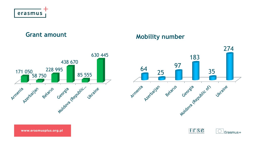



### Grant amount **Mobility number**



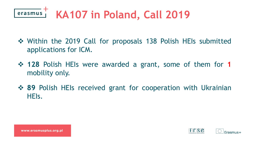

- ❖ Within the 2019 Call for proposals 138 Polish HEIs submitted applications for ICM.
- ❖ **128** Polish HEIs were awarded a grant, some of them for **1** mobility only.
- ❖ **89** Polish HEIs received grant for cooperation with Ukrainian HEIs.



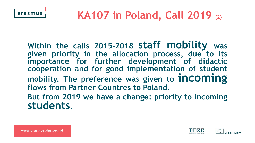

**Within the calls 2015-2018 staff mobility was given priority in the allocation process, due to its importance for further development of didactic cooperation and for good implementation of student mobility. The preference was given to incoming flows from Partner Countres to Poland. But from 2019 we have a change: priority to incoming students.**

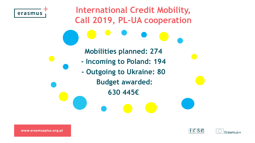



Frasmus+

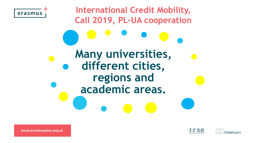



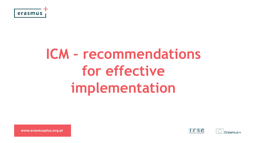

# **ICM – recommendations for effective implementation**

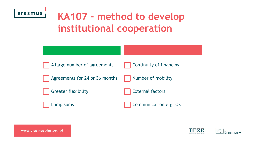

### **KA107 – method to develop institutional cooperation**